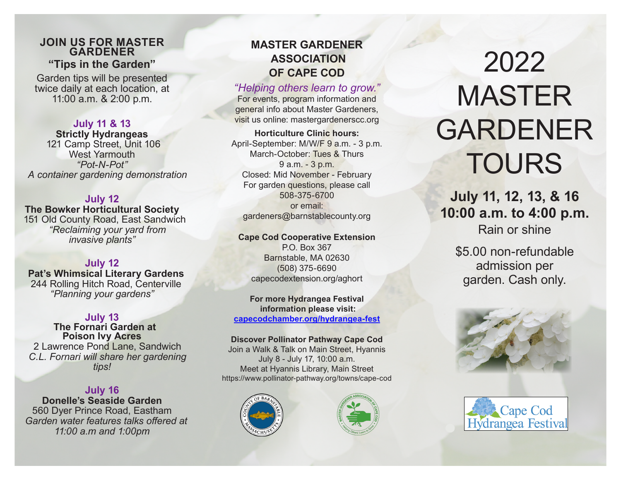## **JOIN US FOR MASTER GARDENER "Tips in the Garden"**

Garden tips will be presented twice daily at each location, at 11:00 a.m. & 2:00 p.m.

**July 11 & 13 Strictly Hydrangeas** 121 Camp Street, Unit 106 West Yarmouth *"Pot-N-Pot" A container gardening demonstration*

## **July 12 The Bowker Horticultural Society**

 151 Old County Road, East Sandwich  *"Reclaiming your yard from invasive plants"*

# **July 12**

 **Pat's Whimsical Literary Gardens** 244 Rolling Hitch Road, Centerville *"Planning your gardens"*

## **July 13**

 **The Fornari Garden at Poison Ivy Acres** 2 Lawrence Pond Lane, Sandwich  *C.L. Fornari will share her gardening tips!*

# **July 16**

**Donelle's Seaside Garden** 560 Dyer Prince Road, Eastham  *Garden water features talks offered at 11:00 a.m and 1:00pm*

# **MASTER GARDENER ASSOCIATION OF CAPE COD**

# *"Helping others learn to grow."*

For events, program information and general info about Master Gardeners, visit us online: mastergardenerscc.org

**Horticulture Clinic hours:** April-September: M/W/F 9 a.m. - 3 p.m. March-October: Tues & Thurs 9 a.m. - 3 p.m. Closed: Mid November - February For garden questions, please call 508-375-6700 or email: gardeners@barnstablecounty.org

### **Cape Cod Cooperative Extension**

P.O. Box 367 Barnstable, MA 02630 (508) 375-6690 capecodextension.org/aghort

### **For more Hydrangea Festival information please visit: capecodchamber.org/hydrangea-fest**

## **Discover Pollinator Pathway Cape Cod**

Join a Walk & Talk on Main Street, Hyannis July 8 - July 17, 10:00 a.m. Meet at Hyannis Library, Main Street https://www.pollinator-pathway.org/towns/cape-cod





# 2022 MASTER GARDENER **TOURS**

**July 11, 12, 13, & 16 10:00 a.m. to 4:00 p.m.** Rain or shine

\$5.00 non-refundable admission per garden. Cash only.